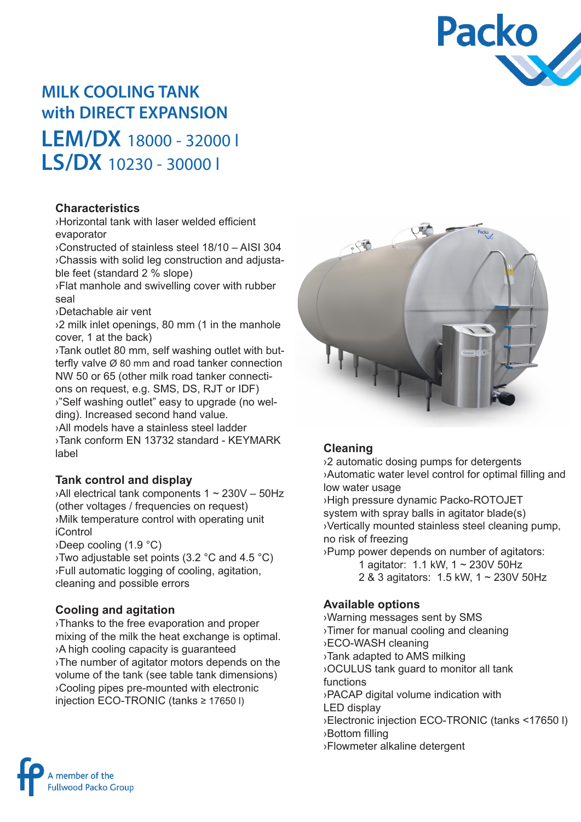

# **MILK COOLING TANK with DIRECT EXPANSION**

**LEM/DX** 18000 - 32000 l **LS/DX** 10230 - 30000 l

#### **Characteristics**

›Horizontal tank with laser welded efficient evaporator

›Constructed of stainless steel 18/10 – AISI 304 ›Chassis with solid leg construction and adjustable feet (standard 2 % slope)

›Flat manhole and swivelling cover with rubber seal

›Detachable air vent

›2 milk inlet openings, 80 mm (1 in the manhole cover, 1 at the back)

›Tank outlet 80 mm, self washing outlet with butterfly valve Ø 80 mm and road tanker connection NW 50 or 65 (other milk road tanker connections on request, e.g. SMS, DS, RJT or IDF) ›"Self washing outlet" easy to upgrade (no wel-

ding). Increased second hand value.

›All models have a stainless steel ladder ›Tank conform EN 13732 standard - KEYMARK label

### **Tank control and display**

 $\lambda$ All electrical tank components 1 ~ 230V – 50Hz (other voltages / frequencies on request) ›Milk temperature control with operating unit iControl

›Deep cooling (1.9 °C)

›Two adjustable set points (3.2 °C and 4.5 °C) ›Full automatic logging of cooling, agitation, cleaning and possible errors

### **Cooling and agitation**

›Thanks to the free evaporation and proper mixing of the milk the heat exchange is optimal. ›A high cooling capacity is guaranteed ›The number of agitator motors depends on the volume of the tank (see table tank dimensions) ›Cooling pipes pre-mounted with electronic injection ECO-TRONIC (tanks ≥ 17650 l)



### **Cleaning**

›2 automatic dosing pumps for detergents ›Automatic water level control for optimal filling and low water usage

›High pressure dynamic Packo-ROTOJET system with spray balls in agitator blade(s) ›Vertically mounted stainless steel cleaning pump, no risk of freezing

›Pump power depends on number of agitators:

- 1 agitator: 1.1 kW, 1 ~ 230V 50Hz
- 2 & 3 agitators: 1.5 kW, 1 ~ 230V 50Hz

#### **Available options**

›Warning messages sent by SMS ›Timer for manual cooling and cleaning ›ECO-WASH cleaning ›Tank adapted to AMS milking ›OCULUS tank guard to monitor all tank functions ›PACAP digital volume indication with LED display ›Electronic injection ECO-TRONIC (tanks <17650 l) ›Bottom filling ›Flowmeter alkaline detergent